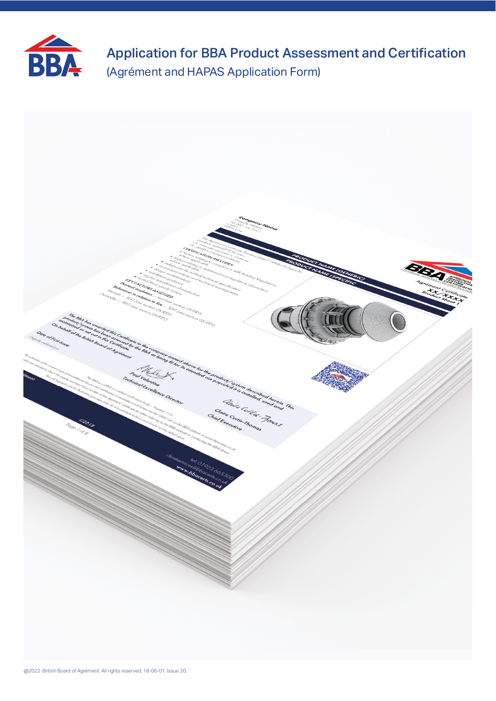

Application for BBA Product Assessment and Certification (Agrément and HAPAS Application Form)

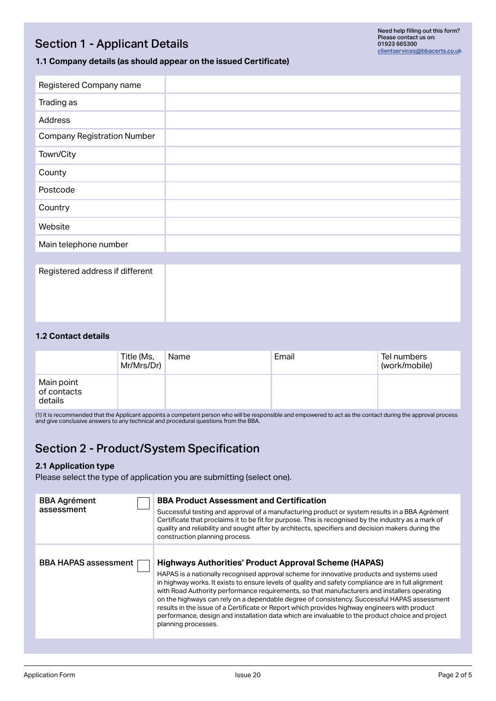# Section 1 - Applicant Details

## **1.1 Company details (as should appear on the issued Certificate)**

| Registered Company name            |  |
|------------------------------------|--|
| Trading as                         |  |
| Address                            |  |
| <b>Company Registration Number</b> |  |
| Town/City                          |  |
| County                             |  |
| Postcode                           |  |
| Country                            |  |
| Website                            |  |
| Main telephone number              |  |
|                                    |  |
| Registered address if different    |  |

### **1.2 Contact details**

|                                      | Title (Ms,<br>Mr/Mrs/Dr) | Name | Email | Tel numbers<br>(work/mobile) |
|--------------------------------------|--------------------------|------|-------|------------------------------|
| Main point<br>of contacts<br>details |                          |      |       |                              |

(1) it is recommended that the Applicant appoints a competent person who will be responsible and empowered to act as the contact during the approval process<br>and give conclusive answers to any technical and procedural quest

# Section 2 - Product/System Specification

### **2.1 Application type**

Please select the type of application you are submitting (select one).

| <b>BBA Product Assessment and Certification</b><br><b>BBA Agrément</b><br>assessment<br>Successful testing and approval of a manufacturing product or system results in a BBA Agrément<br>Certificate that proclaims it to be fit for purpose. This is recognised by the industry as a mark of<br>quality and reliability and sought after by architects, specifiers and decision makers during the<br>construction planning process.<br><b>BBA HAPAS assessment</b><br><b>Highways Authorities' Product Approval Scheme (HAPAS)</b><br>HAPAS is a nationally recognised approval scheme for innovative products and systems used<br>in highway works. It exists to ensure levels of quality and safety compliance are in full alignment<br>with Road Authority performance requirements, so that manufacturers and installers operating<br>on the highways can rely on a dependable degree of consistency. Successful HAPAS assessment<br>results in the issue of a Certificate or Report which provides highway engineers with product<br>performance, design and installation data which are invaluable to the product choice and project<br>planning processes. |  |  |
|---------------------------------------------------------------------------------------------------------------------------------------------------------------------------------------------------------------------------------------------------------------------------------------------------------------------------------------------------------------------------------------------------------------------------------------------------------------------------------------------------------------------------------------------------------------------------------------------------------------------------------------------------------------------------------------------------------------------------------------------------------------------------------------------------------------------------------------------------------------------------------------------------------------------------------------------------------------------------------------------------------------------------------------------------------------------------------------------------------------------------------------------------------------------|--|--|
|                                                                                                                                                                                                                                                                                                                                                                                                                                                                                                                                                                                                                                                                                                                                                                                                                                                                                                                                                                                                                                                                                                                                                                     |  |  |
|                                                                                                                                                                                                                                                                                                                                                                                                                                                                                                                                                                                                                                                                                                                                                                                                                                                                                                                                                                                                                                                                                                                                                                     |  |  |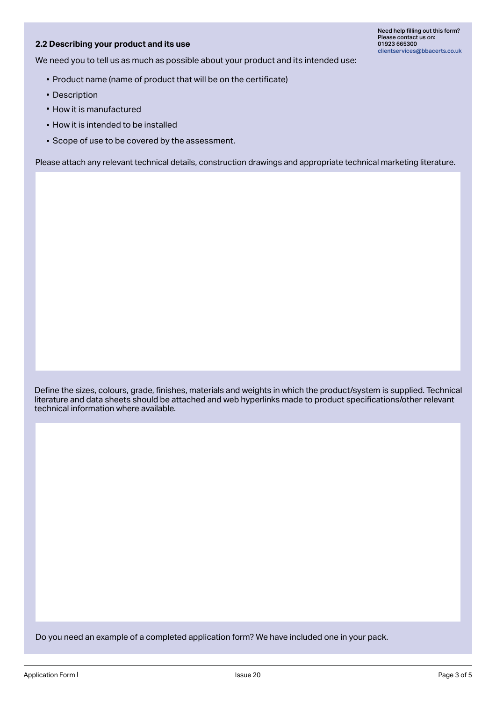## **2.2 Describing your product and its use**

We need you to tell us as much as possible about your product and its intended use:

- $\bullet$  Product name (name of product that will be on the certificate)
- Description
- How it is manufactured
- $\bullet$  How it is intended to be installed
- $\bullet$  Scope of use to be covered by the assessment.

Please attach any relevant technical details, construction drawings and appropriate technical marketing literature.

Define the sizes, colours, grade, finishes, materials and weights in which the product/system is supplied. Technical literature and data sheets should be attached and web hyperlinks made to product specifications/other relevant technical information where available.

Do you need an example of a completed application form? We have included one in your pack.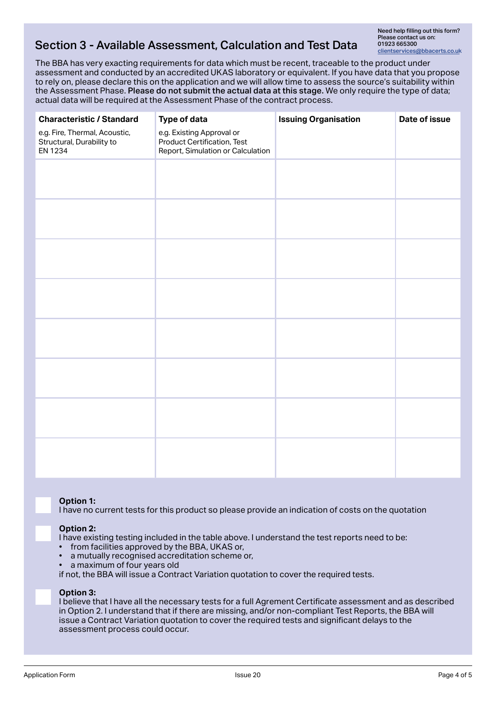# Section 3 - Available Assessment, Calculation and Test Data

Need help filling out this form? Please contact us on: 01923 665300 clientservices@bbacerts.co.uk

The BBA has very exacting requirements for data which must be recent, traceable to the product under assessment and conducted by an accredited UKAS laboratory or equivalent. If you have data that you propose to rely on, please declare this on the application and we will allow time to assess the source's suitability within the Assessment Phase. Please do not submit the actual data at this stage. We only require the type of data; actual data will be required at the Assessment Phase of the contract process.

| <b>Characteristic / Standard</b>                                             | Type of data                                                                                  | <b>Issuing Organisation</b> | Date of issue |
|------------------------------------------------------------------------------|-----------------------------------------------------------------------------------------------|-----------------------------|---------------|
| e.g. Fire, Thermal, Acoustic,<br>Structural, Durability to<br><b>EN 1234</b> | e.g. Existing Approval or<br>Product Certification, Test<br>Report, Simulation or Calculation |                             |               |
|                                                                              |                                                                                               |                             |               |
|                                                                              |                                                                                               |                             |               |
|                                                                              |                                                                                               |                             |               |
|                                                                              |                                                                                               |                             |               |
|                                                                              |                                                                                               |                             |               |
|                                                                              |                                                                                               |                             |               |
|                                                                              |                                                                                               |                             |               |
|                                                                              |                                                                                               |                             |               |
|                                                                              |                                                                                               |                             |               |
|                                                                              |                                                                                               |                             |               |
|                                                                              |                                                                                               |                             |               |
|                                                                              |                                                                                               |                             |               |
|                                                                              |                                                                                               |                             |               |
|                                                                              |                                                                                               |                             |               |
|                                                                              |                                                                                               |                             |               |
|                                                                              |                                                                                               |                             |               |

### **Option 1:**

I have no current tests for this product so please provide an indication of costs on the quotation

### **Option 2:**

I have existing testing included in the table above. I understand the test reports need to be:

- from facilities approved by the BBA, UKAS or,
- a mutually recognised accreditation scheme or,
- a maximum of four years old

if not, the BBA will issue a Contract Variation quotation to cover the required tests.

#### **Option 3:**

I believe that I have all the necessary tests for a full Agrement Certificate assessment and as described in Option 2. I understand that if there are missing, and/or non-compliant Test Reports, the BBA will issue a Contract Variation quotation to cover the required tests and significant delays to the assessment process could occur.